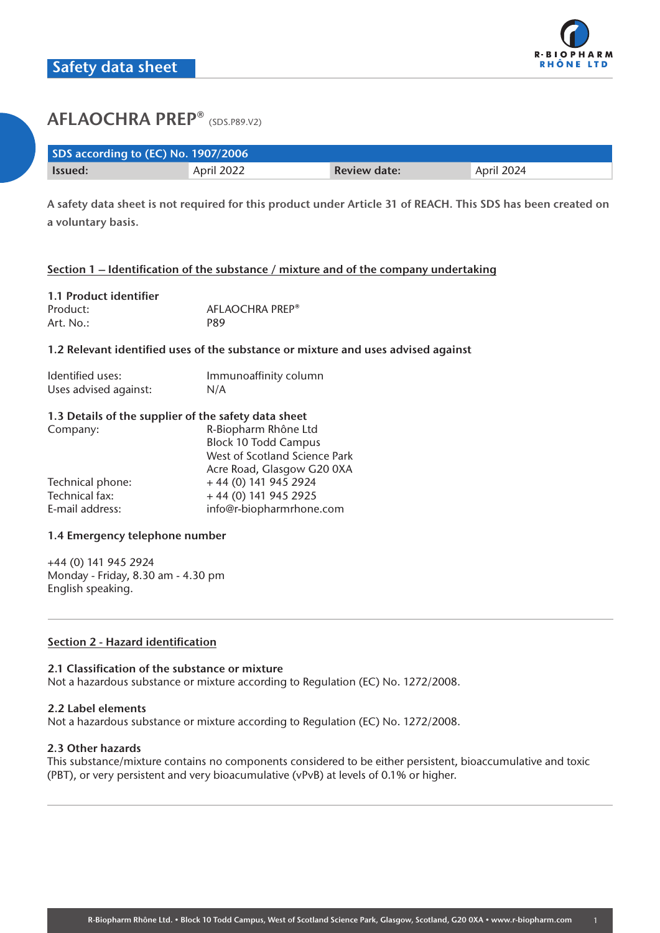

| SDS according to (EC) No. 1907/2006 |            |                     |            |  |
|-------------------------------------|------------|---------------------|------------|--|
| lssued:                             | April 2022 | <b>Review date:</b> | April 2024 |  |

**A safety data sheet is not required for this product under Article 31 of REACH. This SDS has been created on a voluntary basis.**

## **Section 1 – Identification of the substance / mixture and of the company undertaking**

| 1.1 Product identifier |                 |
|------------------------|-----------------|
| Product:               | AFLAOCHRA PREP® |
| Art. No.:              | P89             |

#### **1.2 Relevant identified uses of the substance or mixture and uses advised against**

| Identified uses:      | Immunoaffinity column |
|-----------------------|-----------------------|
| Uses advised against: | N/A                   |

#### **1.3 Details of the supplier of the safety data sheet**

| Company:         | R-Biopharm Rhône Ltd          |  |
|------------------|-------------------------------|--|
|                  | <b>Block 10 Todd Campus</b>   |  |
|                  | West of Scotland Science Park |  |
|                  | Acre Road, Glasgow G20 0XA    |  |
| Technical phone: | +44 (0) 141 945 2924          |  |
| Technical fax:   | +44 (0) 141 945 2925          |  |
| E-mail address:  | info@r-biopharmrhone.com      |  |

#### **1.4 Emergency telephone number**

+44 (0) 141 945 2924 Monday - Friday, 8.30 am - 4.30 pm English speaking.

### **Section 2 - Hazard identification**

#### **2.1 Classification of the substance or mixture**

Not a hazardous substance or mixture according to Regulation (EC) No. 1272/2008.

#### **2.2 Label elements**

Not a hazardous substance or mixture according to Regulation (EC) No. 1272/2008.

#### **2.3 Other hazards**

This substance/mixture contains no components considered to be either persistent, bioaccumulative and toxic (PBT), or very persistent and very bioacumulative (vPvB) at levels of 0.1% or higher.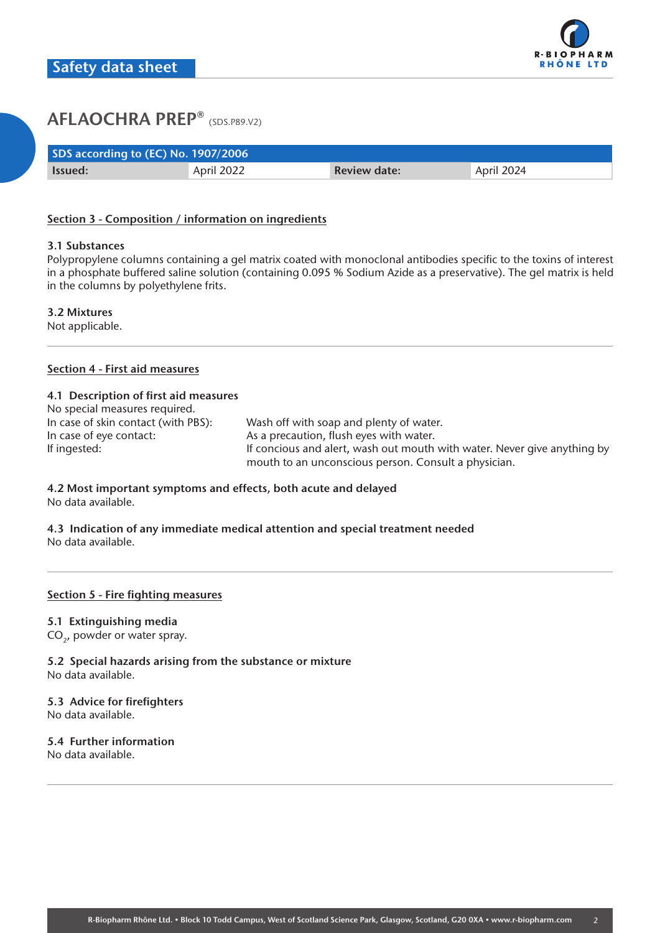

| SDS according to (EC) No. 1907/2006 |            |                     |            |  |
|-------------------------------------|------------|---------------------|------------|--|
| Issued:                             | April 2022 | <b>Review date:</b> | April 2024 |  |

## **Section 3 - Composition / information on ingredients**

#### **3.1 Substances**

Polypropylene columns containing a gel matrix coated with monoclonal antibodies specific to the toxins of interest in a phosphate buffered saline solution (containing 0.095 % Sodium Azide as a preservative). The gel matrix is held in the columns by polyethylene frits.

## **3.2 Mixtures**

Not applicable.

## **Section 4 - First aid measures**

### **4.1 Description of first aid measures**

| No special measures required.       |                                                                          |
|-------------------------------------|--------------------------------------------------------------------------|
| In case of skin contact (with PBS): | Wash off with soap and plenty of water.                                  |
| In case of eye contact:             | As a precaution, flush eyes with water.                                  |
| If ingested:                        | If concious and alert, wash out mouth with water. Never give anything by |
|                                     | mouth to an unconscious person. Consult a physician.                     |

#### **4.2 Most important symptoms and effects, both acute and delayed** No data available.

**4.3 Indication of any immediate medical attention and special treatment needed** No data available.

## **Section 5 - Fire fighting measures**

## **5.1 Extinguishing media**

CO<sub>2</sub>, powder or water spray.

**5.2 Special hazards arising from the substance or mixture** No data available.

## **5.3 Advice for firefighters**

No data available.

## **5.4 Further information**

No data available.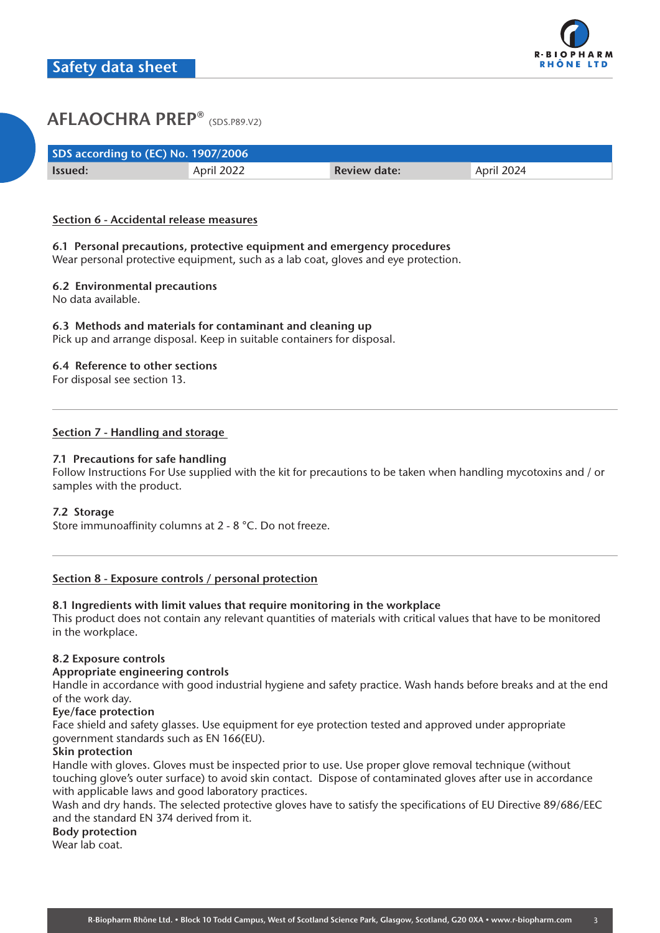

| SDS according to (EC) No. 1907/2006 |            |                     |            |  |
|-------------------------------------|------------|---------------------|------------|--|
| <b>Issued:</b>                      | April 2022 | <b>Review date:</b> | April 2024 |  |

### **Section 6 - Accidental release measures**

## **6.1 Personal precautions, protective equipment and emergency procedures**

Wear personal protective equipment, such as a lab coat, gloves and eye protection.

## **6.2 Environmental precautions**

No data available.

## **6.3 Methods and materials for contaminant and cleaning up**

Pick up and arrange disposal. Keep in suitable containers for disposal.

#### **6.4 Reference to other sections**

For disposal see section 13.

## **Section 7 - Handling and storage**

## **7.1 Precautions for safe handling**

Follow Instructions For Use supplied with the kit for precautions to be taken when handling mycotoxins and / or samples with the product.

#### **7.2 Storage**

Store immunoaffinity columns at 2 - 8 °C. Do not freeze.

#### **Section 8 - Exposure controls / personal protection**

## **8.1 Ingredients with limit values that require monitoring in the workplace**

This product does not contain any relevant quantities of materials with critical values that have to be monitored in the workplace.

#### **8.2 Exposure controls**

#### **Appropriate engineering controls**

Handle in accordance with good industrial hygiene and safety practice. Wash hands before breaks and at the end of the work day.

#### **Eye/face protection**

Face shield and safety glasses. Use equipment for eye protection tested and approved under appropriate government standards such as EN 166(EU).

## **Skin protection**

Handle with gloves. Gloves must be inspected prior to use. Use proper glove removal technique (without touching glove's outer surface) to avoid skin contact. Dispose of contaminated gloves after use in accordance with applicable laws and good laboratory practices.

Wash and dry hands. The selected protective gloves have to satisfy the specifications of EU Directive 89/686/EEC and the standard EN 374 derived from it.

#### **Body protection**

Wear lab coat.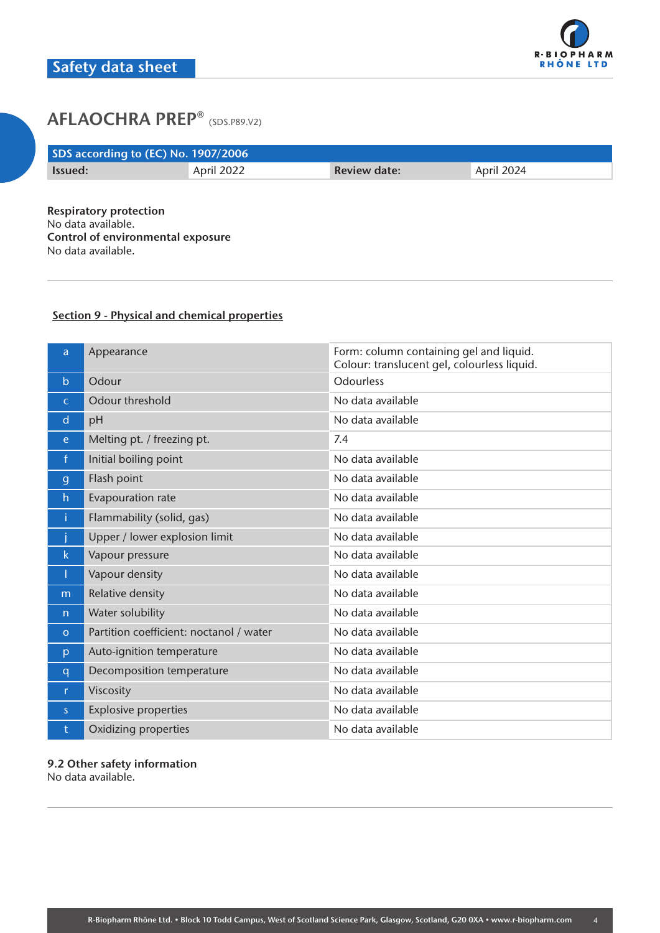

# **AFLAOCHRA PREP<sup>®</sup> (SDS.P89.V2)**

| SDS according to (EC) No. 1907/2006 |            |                     |            |  |
|-------------------------------------|------------|---------------------|------------|--|
| Issued:                             | April 2022 | <b>Review date:</b> | April 2024 |  |
|                                     |            |                     |            |  |

**Respiratory protection** No data available. **Control of environmental exposure** No data available.

## **Section 9 - Physical and chemical properties**

| a            | Appearance                              | Form: column containing gel and liquid.<br>Colour: translucent gel, colourless liquid. |
|--------------|-----------------------------------------|----------------------------------------------------------------------------------------|
| $\mathsf{b}$ | Odour                                   | <b>Odourless</b>                                                                       |
| $\mathsf{C}$ | Odour threshold                         | No data available                                                                      |
| d            | pH                                      | No data available                                                                      |
| e.           | Melting pt. / freezing pt.              | 7.4                                                                                    |
| $\mathsf{f}$ | Initial boiling point                   | No data available                                                                      |
| $\mathbf{g}$ | Flash point                             | No data available                                                                      |
| h            | Evapouration rate                       | No data available                                                                      |
| î.           | Flammability (solid, gas)               | No data available                                                                      |
|              | Upper / lower explosion limit           | No data available                                                                      |
| k.           | Vapour pressure                         | No data available                                                                      |
| T            | Vapour density                          | No data available                                                                      |
| m            | Relative density                        | No data available                                                                      |
| n            | Water solubility                        | No data available                                                                      |
| $\circ$      | Partition coefficient: noctanol / water | No data available                                                                      |
| p            | Auto-ignition temperature               | No data available                                                                      |
| $\mathsf{q}$ | Decomposition temperature               | No data available                                                                      |
| $\mathsf{r}$ | Viscosity                               | No data available                                                                      |
| S            | <b>Explosive properties</b>             | No data available                                                                      |
| t            | Oxidizing properties                    | No data available                                                                      |

**9.2 Other safety information** No data available.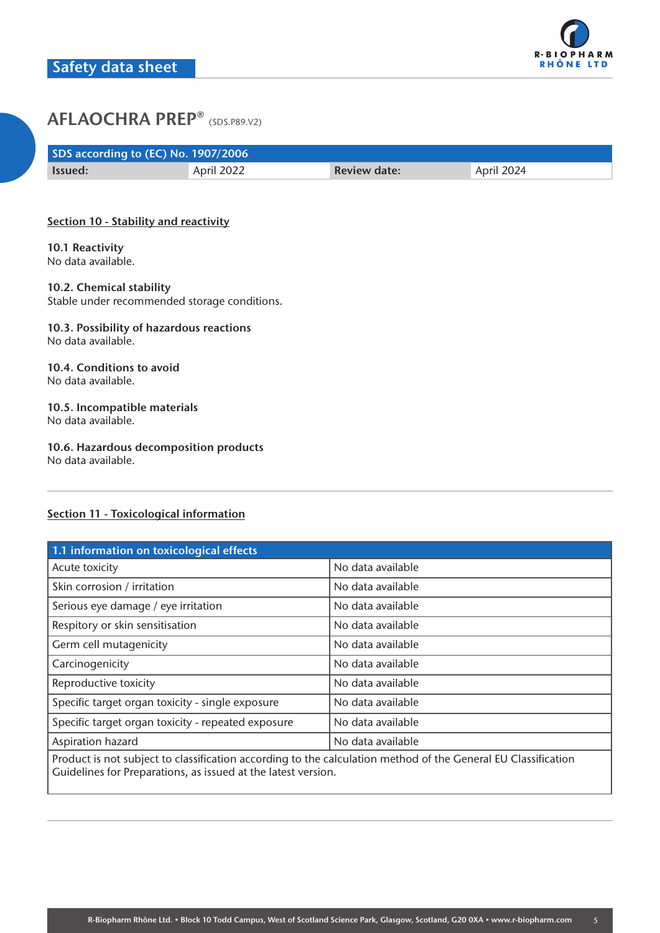

# **AFLAOCHRA PREP<sup>®</sup> (SDS.P89.V2)**

| SDS according to (EC) No. 1907/2006 |            |                     |            |  |
|-------------------------------------|------------|---------------------|------------|--|
| <b>Issued:</b>                      | April 2022 | <b>Review date:</b> | April 2024 |  |

## **Section 10 - Stability and reactivity**

**10.1 Reactivity** No data available.

#### **10.2. Chemical stability**

Stable under recommended storage conditions.

#### **10.3. Possibility of hazardous reactions** No data available.

#### **10.4. Conditions to avoid** No data available.

#### **10.5. Incompatible materials** No data available.

# **10.6. Hazardous decomposition products**

No data available.

## **Section 11 - Toxicological information**

| 1.1 information on toxicological effects                                                                                                                                       |                   |  |  |
|--------------------------------------------------------------------------------------------------------------------------------------------------------------------------------|-------------------|--|--|
| Acute toxicity                                                                                                                                                                 | No data available |  |  |
| Skin corrosion / irritation                                                                                                                                                    | No data available |  |  |
| Serious eye damage / eye irritation                                                                                                                                            | No data available |  |  |
| Respitory or skin sensitisation                                                                                                                                                | No data available |  |  |
| Germ cell mutagenicity                                                                                                                                                         | No data available |  |  |
| Carcinogenicity                                                                                                                                                                | No data available |  |  |
| Reproductive toxicity                                                                                                                                                          | No data available |  |  |
| Specific target organ toxicity - single exposure                                                                                                                               | No data available |  |  |
| Specific target organ toxicity - repeated exposure                                                                                                                             | No data available |  |  |
| Aspiration hazard                                                                                                                                                              | No data available |  |  |
| Product is not subject to classification according to the calculation method of the General EU Classification<br>Guidelines for Preparations, as issued at the latest version. |                   |  |  |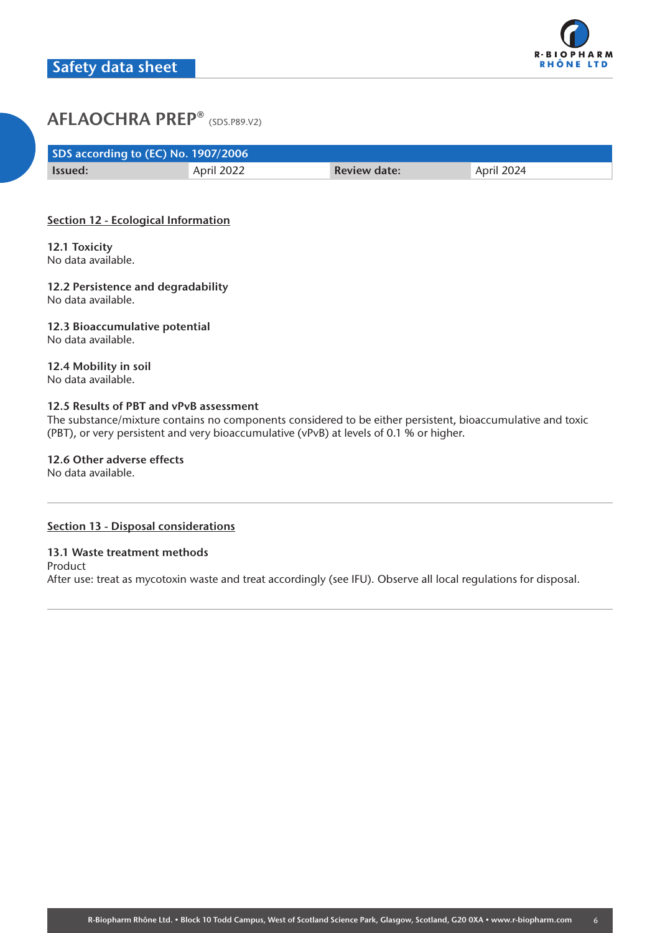

# **AFLAOCHRA PREP<sup>®</sup> (SDS.P89.V2)**

| SDS according to (EC) No. 1907/2006 |            |                     |            |  |
|-------------------------------------|------------|---------------------|------------|--|
| <b>Issued:</b>                      | April 2022 | <b>Review date:</b> | April 2024 |  |

## **Section 12 - Ecological Information**

**12.1 Toxicity** No data available.

**12.2 Persistence and degradability** No data available.

**12.3 Bioaccumulative potential** No data available.

**12.4 Mobility in soil** No data available.

#### **12.5 Results of PBT and vPvB assessment**

The substance/mixture contains no components considered to be either persistent, bioaccumulative and toxic (PBT), or very persistent and very bioaccumulative (vPvB) at levels of 0.1 % or higher.

**12.6 Other adverse effects**

No data available.

## **Section 13 - Disposal considerations**

#### **13.1 Waste treatment methods**

Product After use: treat as mycotoxin waste and treat accordingly (see IFU). Observe all local regulations for disposal.